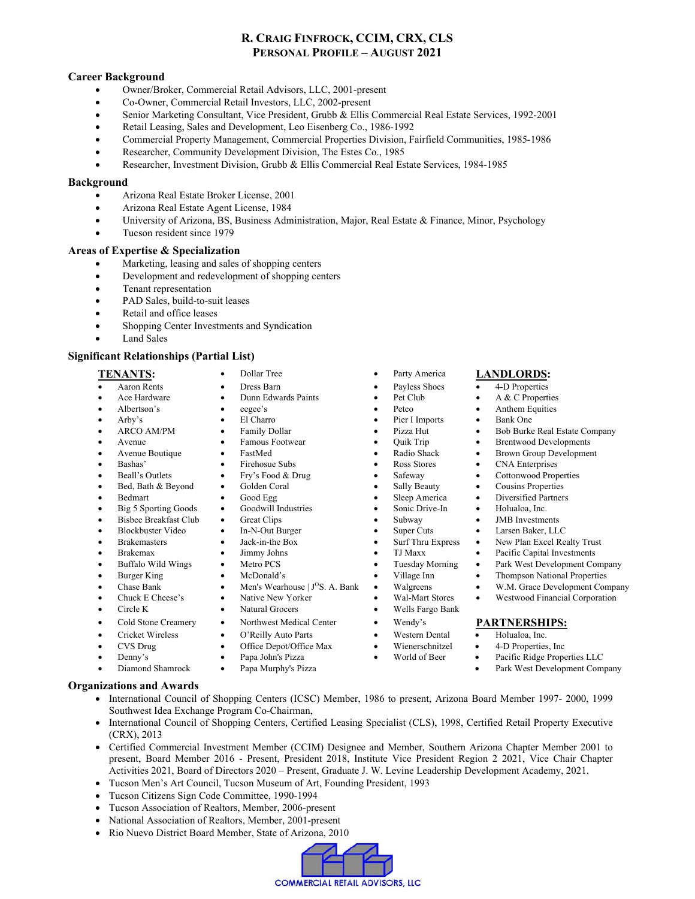# **R. CRAIG FINFROCK, CCIM, CRX, CLS PERSONAL PROFILE – AUGUST 2021**

# **Career Background**

- Owner/Broker, Commercial Retail Advisors, LLC, 2001-present
- Co-Owner, Commercial Retail Investors, LLC, 2002-present
- Senior Marketing Consultant, Vice President, Grubb & Ellis Commercial Real Estate Services, 1992-2001
- Retail Leasing, Sales and Development, Leo Eisenberg Co., 1986-1992
- Commercial Property Management, Commercial Properties Division, Fairfield Communities, 1985-1986
- Researcher, Community Development Division, The Estes Co., 1985
- Researcher, Investment Division, Grubb & Ellis Commercial Real Estate Services, 1984-1985

### **Background**

- Arizona Real Estate Broker License, 2001
- Arizona Real Estate Agent License, 1984
- University of Arizona, BS, Business Administration, Major, Real Estate & Finance, Minor, Psychology
- Tucson resident since 1979

### **Areas of Expertise & Specialization**

- Marketing, leasing and sales of shopping centers
- Development and redevelopment of shopping centers
- Tenant representation
- PAD Sales, build-to-suit leases
- Retail and office leases
- Shopping Center Investments and Syndication
- Land Sales

# **Significant Relationships (Partial List)**

- 
- 
- 
- 
- 
- 
- 
- 
- 
- 
- 
- Big 5 Sporting Goods Goodwill Industries Sonic Drive-In Holualoa, Inc.
- Bisbee Breakfast Club Great Clips Subway JMB Investments
- Blockbuster Video In-N-Out Burger Super Cuts Larsen Baker, LLC
- 
- 
- Buffalo Wild Wings Metro PCS Tuesday Morning Park West Development Company
- 
- 
- 
- 
- Cold Stone Creamery Northwest Medical Center Wendy's **PARTNERSHIPS:**
- Cricket Wireless O'Reilly Auto Parts Western Dental Holualoa, Inc.
- CVS Drug Office Depot/Office Max Wienerschnitzel 4-D Properties, Inc
- 
- Diamond Shamrock Papa Murphy's Pizza Park West Development Company

# **Organizations and Awards**

- International Council of Shopping Centers (ICSC) Member, 1986 to present, Arizona Board Member 1997- 2000, 1999 Southwest Idea Exchange Program Co-Chairman,
- International Council of Shopping Centers, Certified Leasing Specialist (CLS), 1998, Certified Retail Property Executive (CRX), 2013
- Certified Commercial Investment Member (CCIM) Designee and Member, Southern Arizona Chapter Member 2001 to present, Board Member 2016 - Present, President 2018, Institute Vice President Region 2 2021, Vice Chair Chapter Activities 2021, Board of Directors 2020 – Present, Graduate J. W. Levine Leadership Development Academy, 2021.
- Tucson Men's Art Council, Tucson Museum of Art, Founding President, 1993
- Tucson Citizens Sign Code Committee, 1990-1994
- Tucson Association of Realtors, Member, 2006-present
- National Association of Realtors, Member, 2001-present
- Rio Nuevo District Board Member, State of Arizona, 2010
	- **COMMERCIAL RETAIL ADVISORS, LLC**
- **TENANTS:** Dollar Tree Party America **LANDLORDS:** 
	-
	-
	- Albertson's eegee's Petco Anthem Equities
	- Arby's **Calcular Contract Contract Contract Contract Contract Contract Contract Contract Contract Contract Contract Contract Contract Contract Contract Contract Contract Contract Contract Contract Contract Contract Contrac** 
		-
		-
		- -
			-
	- Bed, Bath & Beyond Golden Coral Golden Coral Sally Beauty Golden Coral Cousing Properties
	- Bedmart Good Egg Sleep America Diversified Partners
		-
		-
		-
		-
	- Brakemasters Jack-in-the Box Surf Thru Express New Plan Excel Realty Trust<br>Brakemax Jimmy Johns TJ Maxx Pacific Capital Investments Brakemax • Jimmy Johns • TJ Maxx • Pacific Capital Investments
		-
	- Burger King McDonald's Village Inn Thompson National Properties
		-
	- Chase Bank Men's Wearhouse | J<sup>o</sup>S. A. Bank Walgreens W.M. Grace Development Company<br>Chuck E Cheese's Native New Yorker Wal-Mart Stores Westwood Financial Corporation Chuck E Cheese's Native New Yorker Wal-Mart Stores Westwood Financial Corporation
	- Circle K Natural Grocers Wells Fargo Bank
		-
		-
		-
	- Denny's Papa John's Pizza World of Beer Pacific Ridge Properties LLC
		-
- Aaron Rents Dress Barn Payless Shoes 4-D Properties
- Ace Hardware Dunn Edwards Paints Pet Club A & C Properties
	-
	-
- ARCO AM/PM Family Dollar Pizza Hut Bob Burke Real Estate Company
	-
- Avenue Famous Footwear Quik Trip Brentwood Developments • FastMed • Radio Shack • Brown Group Development
- Bashas' Firehosue Subs Ross Stores CNA Enterprises
	-
- Beall's Outlets Fry's Food & Drug Safeway Cottonwood Properties
	-
	-
	-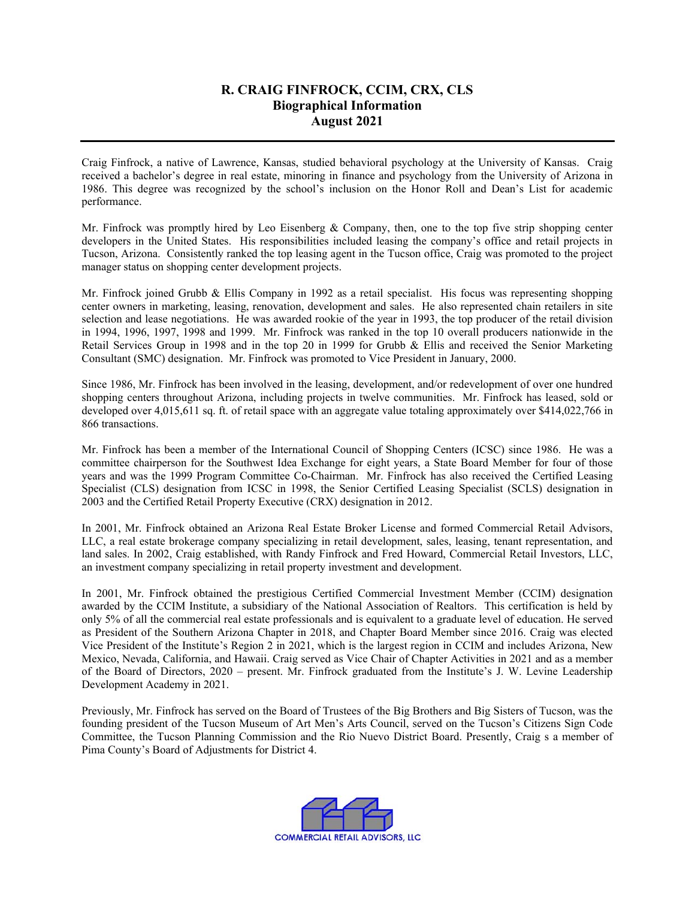# **R. CRAIG FINFROCK, CCIM, CRX, CLS Biographical Information August 2021**

Craig Finfrock, a native of Lawrence, Kansas, studied behavioral psychology at the University of Kansas. Craig received a bachelor's degree in real estate, minoring in finance and psychology from the University of Arizona in 1986. This degree was recognized by the school's inclusion on the Honor Roll and Dean's List for academic performance.

Mr. Finfrock was promptly hired by Leo Eisenberg & Company, then, one to the top five strip shopping center developers in the United States. His responsibilities included leasing the company's office and retail projects in Tucson, Arizona. Consistently ranked the top leasing agent in the Tucson office, Craig was promoted to the project manager status on shopping center development projects.

Mr. Finfrock joined Grubb & Ellis Company in 1992 as a retail specialist. His focus was representing shopping center owners in marketing, leasing, renovation, development and sales. He also represented chain retailers in site selection and lease negotiations. He was awarded rookie of the year in 1993, the top producer of the retail division in 1994, 1996, 1997, 1998 and 1999. Mr. Finfrock was ranked in the top 10 overall producers nationwide in the Retail Services Group in 1998 and in the top 20 in 1999 for Grubb & Ellis and received the Senior Marketing Consultant (SMC) designation. Mr. Finfrock was promoted to Vice President in January, 2000.

Since 1986, Mr. Finfrock has been involved in the leasing, development, and/or redevelopment of over one hundred shopping centers throughout Arizona, including projects in twelve communities. Mr. Finfrock has leased, sold or developed over 4,015,611 sq. ft. of retail space with an aggregate value totaling approximately over \$414,022,766 in 866 transactions.

Mr. Finfrock has been a member of the International Council of Shopping Centers (ICSC) since 1986. He was a committee chairperson for the Southwest Idea Exchange for eight years, a State Board Member for four of those years and was the 1999 Program Committee Co-Chairman. Mr. Finfrock has also received the Certified Leasing Specialist (CLS) designation from ICSC in 1998, the Senior Certified Leasing Specialist (SCLS) designation in 2003 and the Certified Retail Property Executive (CRX) designation in 2012.

In 2001, Mr. Finfrock obtained an Arizona Real Estate Broker License and formed Commercial Retail Advisors, LLC, a real estate brokerage company specializing in retail development, sales, leasing, tenant representation, and land sales. In 2002, Craig established, with Randy Finfrock and Fred Howard, Commercial Retail Investors, LLC, an investment company specializing in retail property investment and development.

In 2001, Mr. Finfrock obtained the prestigious Certified Commercial Investment Member (CCIM) designation awarded by the CCIM Institute, a subsidiary of the National Association of Realtors. This certification is held by only 5% of all the commercial real estate professionals and is equivalent to a graduate level of education. He served as President of the Southern Arizona Chapter in 2018, and Chapter Board Member since 2016. Craig was elected Vice President of the Institute's Region 2 in 2021, which is the largest region in CCIM and includes Arizona, New Mexico, Nevada, California, and Hawaii. Craig served as Vice Chair of Chapter Activities in 2021 and as a member of the Board of Directors, 2020 – present. Mr. Finfrock graduated from the Institute's J. W. Levine Leadership Development Academy in 2021.

Previously, Mr. Finfrock has served on the Board of Trustees of the Big Brothers and Big Sisters of Tucson, was the founding president of the Tucson Museum of Art Men's Arts Council, served on the Tucson's Citizens Sign Code Committee, the Tucson Planning Commission and the Rio Nuevo District Board. Presently, Craig s a member of Pima County's Board of Adjustments for District 4.